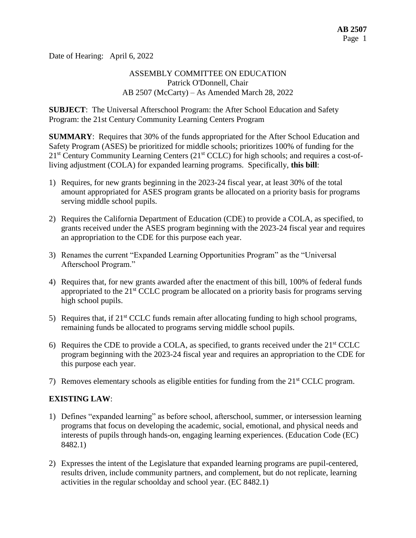Date of Hearing: April 6, 2022

## ASSEMBLY COMMITTEE ON EDUCATION Patrick O'Donnell, Chair AB 2507 (McCarty) – As Amended March 28, 2022

**SUBJECT**: The Universal Afterschool Program: the After School Education and Safety Program: the 21st Century Community Learning Centers Program

**SUMMARY**: Requires that 30% of the funds appropriated for the After School Education and Safety Program (ASES) be prioritized for middle schools; prioritizes 100% of funding for the  $21<sup>st</sup>$  Century Community Learning Centers ( $21<sup>st</sup>$  CCLC) for high schools; and requires a cost-ofliving adjustment (COLA) for expanded learning programs. Specifically, **this bill**:

- 1) Requires, for new grants beginning in the 2023-24 fiscal year, at least 30% of the total amount appropriated for ASES program grants be allocated on a priority basis for programs serving middle school pupils.
- 2) Requires the California Department of Education (CDE) to provide a COLA, as specified, to grants received under the ASES program beginning with the 2023-24 fiscal year and requires an appropriation to the CDE for this purpose each year.
- 3) Renames the current "Expanded Learning Opportunities Program" as the "Universal Afterschool Program."
- 4) Requires that, for new grants awarded after the enactment of this bill, 100% of federal funds appropriated to the  $21<sup>st</sup> CCLC$  program be allocated on a priority basis for programs serving high school pupils.
- 5) Requires that, if  $21<sup>st</sup> CCLC$  funds remain after allocating funding to high school programs, remaining funds be allocated to programs serving middle school pupils.
- 6) Requires the CDE to provide a COLA, as specified, to grants received under the  $21<sup>st</sup> CCLC$ program beginning with the 2023-24 fiscal year and requires an appropriation to the CDE for this purpose each year.
- 7) Removes elementary schools as eligible entities for funding from the  $21<sup>st</sup> CCLC$  program.

## **EXISTING LAW**:

- 1) Defines "expanded learning" as before school, afterschool, summer, or intersession learning programs that focus on developing the academic, social, emotional, and physical needs and interests of pupils through hands-on, engaging learning experiences. (Education Code (EC) 8482.1)
- 2) Expresses the intent of the Legislature that expanded learning programs are pupil-centered, results driven, include community partners, and complement, but do not replicate, learning activities in the regular schoolday and school year. (EC 8482.1)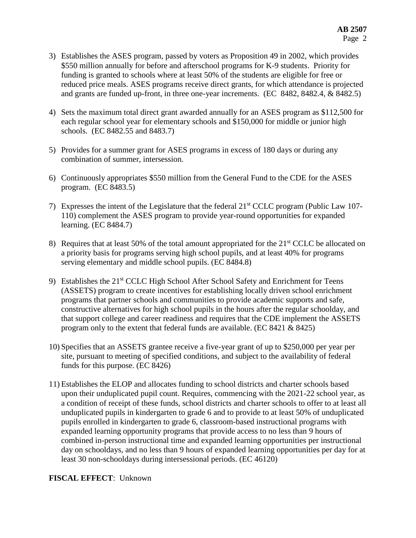- 3) Establishes the ASES program, passed by voters as Proposition 49 in 2002, which provides \$550 million annually for before and afterschool programs for K-9 students. Priority for funding is granted to schools where at least 50% of the students are eligible for free or reduced price meals. ASES programs receive direct grants, for which attendance is projected and grants are funded up-front, in three one-year increments. (EC 8482, 8482.4, & 8482.5)
- 4) Sets the maximum total direct grant awarded annually for an ASES program as \$112,500 for each regular school year for elementary schools and \$150,000 for middle or junior high schools. (EC 8482.55 and 8483.7)
- 5) Provides for a summer grant for ASES programs in excess of 180 days or during any combination of summer, intersession.
- 6) Continuously appropriates \$550 million from the General Fund to the CDE for the ASES program. (EC 8483.5)
- 7) Expresses the intent of the Legislature that the federal 21st CCLC program (Public Law 107- 110) complement the ASES program to provide year-round opportunities for expanded learning. (EC 8484.7)
- 8) Requires that at least 50% of the total amount appropriated for the 21<sup>st</sup> CCLC be allocated on a priority basis for programs serving high school pupils, and at least 40% for programs serving elementary and middle school pupils. (EC 8484.8)
- 9) Establishes the 21<sup>st</sup> CCLC High School After School Safety and Enrichment for Teens (ASSETS) program to create incentives for establishing locally driven school enrichment programs that partner schools and communities to provide academic supports and safe, constructive alternatives for high school pupils in the hours after the regular schoolday, and that support college and career readiness and requires that the CDE implement the ASSETS program only to the extent that federal funds are available. (EC  $8421 \& 8425$ )
- 10) Specifies that an ASSETS grantee receive a five-year grant of up to \$250,000 per year per site, pursuant to meeting of specified conditions, and subject to the availability of federal funds for this purpose. (EC 8426)
- 11) Establishes the ELOP and allocates funding to school districts and charter schools based upon their unduplicated pupil count. Requires, commencing with the 2021-22 school year, as a condition of receipt of these funds, school districts and charter schools to offer to at least all unduplicated pupils in kindergarten to grade 6 and to provide to at least 50% of unduplicated pupils enrolled in kindergarten to grade 6, classroom-based instructional programs with expanded learning opportunity programs that provide access to no less than 9 hours of combined in-person instructional time and expanded learning opportunities per instructional day on schooldays, and no less than 9 hours of expanded learning opportunities per day for at least 30 non-schooldays during intersessional periods. (EC 46120)

## **FISCAL EFFECT**: Unknown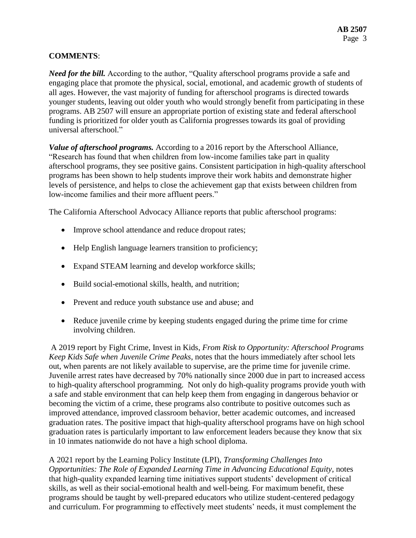# **COMMENTS**:

*Need for the bill.* According to the author, "Quality afterschool programs provide a safe and engaging place that promote the physical, social, emotional, and academic growth of students of all ages. However, the vast majority of funding for afterschool programs is directed towards younger students, leaving out older youth who would strongly benefit from participating in these programs. AB 2507 will ensure an appropriate portion of existing state and federal afterschool funding is prioritized for older youth as California progresses towards its goal of providing universal afterschool."

*Value of afterschool programs.* According to a 2016 report by the Afterschool Alliance, "Research has found that when children from low-income families take part in quality afterschool programs, they see positive gains. Consistent participation in high-quality afterschool programs has been shown to help students improve their work habits and demonstrate higher levels of persistence, and helps to close the achievement gap that exists between children from low-income families and their more affluent peers."

The California Afterschool Advocacy Alliance reports that public afterschool programs:

- Improve school attendance and reduce dropout rates;
- Help English language learners transition to proficiency;
- Expand STEAM learning and develop workforce skills;
- Build social-emotional skills, health, and nutrition;
- Prevent and reduce youth substance use and abuse; and
- Reduce juvenile crime by keeping students engaged during the prime time for crime involving children.

A 2019 report by Fight Crime, Invest in Kids, *From Risk to Opportunity: Afterschool Programs Keep Kids Safe when Juvenile Crime Peaks,* notes that the hours immediately after school lets out, when parents are not likely available to supervise, are the prime time for juvenile crime. Juvenile arrest rates have decreased by 70% nationally since 2000 due in part to increased access to high-quality afterschool programming. Not only do high-quality programs provide youth with a safe and stable environment that can help keep them from engaging in dangerous behavior or becoming the victim of a crime, these programs also contribute to positive outcomes such as improved attendance, improved classroom behavior, better academic outcomes, and increased graduation rates. The positive impact that high-quality afterschool programs have on high school graduation rates is particularly important to law enforcement leaders because they know that six in 10 inmates nationwide do not have a high school diploma.

A 2021 report by the Learning Policy Institute (LPI), *Transforming Challenges Into Opportunities: The Role of Expanded Learning Time in Advancing Educational Equity, notes* that high-quality expanded learning time initiatives support students' development of critical skills, as well as their social-emotional health and well-being. For maximum benefit, these programs should be taught by well-prepared educators who utilize student-centered pedagogy and curriculum. For programming to effectively meet students' needs, it must complement the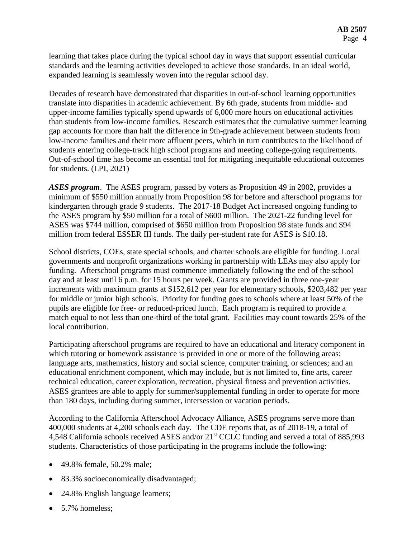learning that takes place during the typical school day in ways that support essential curricular standards and the learning activities developed to achieve those standards. In an ideal world, expanded learning is seamlessly woven into the regular school day.

Decades of research have demonstrated that disparities in out-of-school learning opportunities translate into disparities in academic achievement. By 6th grade, students from middle- and upper-income families typically spend upwards of 6,000 more hours on educational activities than students from low-income families. Research estimates that the cumulative summer learning gap accounts for more than half the difference in 9th-grade achievement between students from low-income families and their more affluent peers, which in turn contributes to the likelihood of students entering college-track high school programs and meeting college-going requirements. Out-of-school time has become an essential tool for mitigating inequitable educational outcomes for students. (LPI, 2021)

*ASES program*. The ASES program, passed by voters as Proposition 49 in 2002, provides a minimum of \$550 million annually from Proposition 98 for before and afterschool programs for kindergarten through grade 9 students. The 2017-18 Budget Act increased ongoing funding to the ASES program by \$50 million for a total of \$600 million. The 2021-22 funding level for ASES was \$744 million, comprised of \$650 million from Proposition 98 state funds and \$94 million from federal ESSER III funds. The daily per-student rate for ASES is \$10.18.

School districts, COEs, state special schools, and charter schools are eligible for funding. Local governments and nonprofit organizations working in partnership with LEAs may also apply for funding. Afterschool programs must commence immediately following the end of the school day and at least until 6 p.m. for 15 hours per week. Grants are provided in three one-year increments with maximum grants at \$152,612 per year for elementary schools, \$203,482 per year for middle or junior high schools. Priority for funding goes to schools where at least 50% of the pupils are eligible for free- or reduced-priced lunch. Each program is required to provide a match equal to not less than one-third of the total grant. Facilities may count towards 25% of the local contribution.

Participating afterschool programs are required to have an educational and literacy component in which tutoring or homework assistance is provided in one or more of the following areas: language arts, mathematics, history and social science, computer training, or sciences; and an educational enrichment component, which may include, but is not limited to, fine arts, career technical education, career exploration, recreation, physical fitness and prevention activities. ASES grantees are able to apply for summer/supplemental funding in order to operate for more than 180 days, including during summer, intersession or vacation periods.

According to the California Afterschool Advocacy Alliance, ASES programs serve more than 400,000 students at 4,200 schools each day. The CDE reports that, as of 2018-19, a total of 4,548 California schools received ASES and/or 21<sup>st</sup> CCLC funding and served a total of 885,993 students. Characteristics of those participating in the programs include the following:

- 49.8% female, 50.2% male:
- 83.3% socioeconomically disadvantaged;
- 24.8% English language learners;
- 5.7% homeless;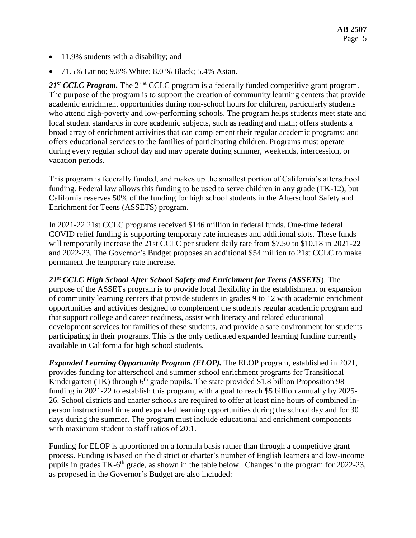- 11.9% students with a disability; and
- 71.5% Latino; 9.8% White; 8.0 % Black; 5.4% Asian.

21<sup>st</sup> CCLC Program. The 21<sup>st</sup> CCLC program is a federally funded competitive grant program. The purpose of the program is to support the creation of community learning centers that provide academic enrichment opportunities during non-school hours for children, particularly students who attend high-poverty and low-performing schools. The program helps students meet state and local student standards in core academic subjects, such as reading and math; offers students a broad array of enrichment activities that can complement their regular academic programs; and offers educational services to the families of participating children. Programs must operate during every regular school day and may operate during summer, weekends, intercession, or vacation periods.

This program is federally funded, and makes up the smallest portion of California's afterschool funding. Federal law allows this funding to be used to serve children in any grade (TK-12), but California reserves 50% of the funding for high school students in the Afterschool Safety and Enrichment for Teens (ASSETS) program.

In 2021-22 21st CCLC programs received \$146 million in federal funds. One-time federal COVID relief funding is supporting temporary rate increases and additional slots. These funds will temporarily increase the 21st CCLC per student daily rate from \$7.50 to \$10.18 in 2021-22 and 2022-23. The Governor's Budget proposes an additional \$54 million to 21st CCLC to make permanent the temporary rate increase.

*21st CCLC High School After School Safety and Enrichment for Teens (ASSETS*). The purpose of the ASSETs program is to provide local flexibility in the establishment or expansion of community learning centers that provide students in grades 9 to 12 with academic enrichment opportunities and activities designed to complement the student's regular academic program and that support college and career readiness, assist with literacy and related educational development services for families of these students, and provide a safe environment for students participating in their programs. This is the only dedicated expanded learning funding currently available in California for high school students.

*Expanded Learning Opportunity Program (ELOP).* The ELOP program, established in 2021, provides funding for afterschool and summer school enrichment programs for Transitional Kindergarten (TK) through  $6<sup>th</sup>$  grade pupils. The state provided \$1.8 billion Proposition 98 funding in 2021-22 to establish this program, with a goal to reach \$5 billion annually by 2025- 26. School districts and charter schools are required to offer at least nine hours of combined inperson instructional time and expanded learning opportunities during the school day and for 30 days during the summer. The program must include educational and enrichment components with maximum student to staff ratios of 20:1.

Funding for ELOP is apportioned on a formula basis rather than through a competitive grant process. Funding is based on the district or charter's number of English learners and low-income pupils in grades TK-6<sup>th</sup> grade, as shown in the table below. Changes in the program for 2022-23, as proposed in the Governor's Budget are also included: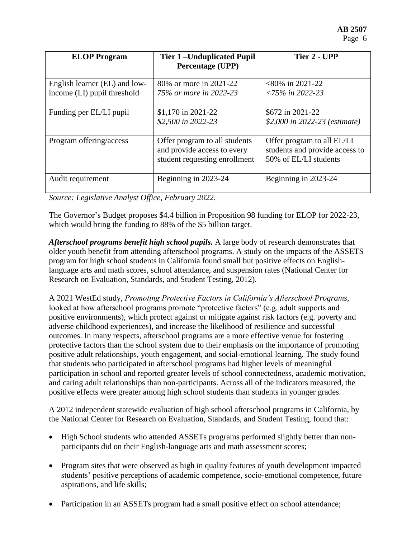| <b>ELOP</b> Program                                          | <b>Tier 1-Unduplicated Pupil</b><br><b>Percentage (UPP)</b>                                   | Tier 2 - UPP                                                                          |
|--------------------------------------------------------------|-----------------------------------------------------------------------------------------------|---------------------------------------------------------------------------------------|
| English learner (EL) and low-<br>income (LI) pupil threshold | 80% or more in 2021-22<br>75% or more in 2022-23                                              | $<80\%$ in 2021-22<br>$\langle 75\% \text{ in } 2022 - 23 \rangle$                    |
| Funding per EL/LI pupil                                      | \$1,170 in 2021-22<br>\$2,500 in 2022-23                                                      | \$672 in 2021-22<br>\$2,000 in 2022-23 (estimate)                                     |
| Program offering/access                                      | Offer program to all students<br>and provide access to every<br>student requesting enrollment | Offer program to all EL/LI<br>students and provide access to<br>50% of EL/LI students |
| Audit requirement                                            | Beginning in 2023-24                                                                          | Beginning in 2023-24                                                                  |

*Source: Legislative Analyst Office, February 2022.*

The Governor's Budget proposes \$4.4 billion in Proposition 98 funding for ELOP for 2022-23, which would bring the funding to 88% of the \$5 billion target.

*Afterschool programs benefit high school pupils.* A large body of research demonstrates that older youth benefit from attending afterschool programs. A study on the impacts of the ASSETS program for high school students in California found small but positive effects on Englishlanguage arts and math scores, school attendance, and suspension rates (National Center for Research on Evaluation, Standards, and Student Testing, 2012).

A 2021 WestEd study, *Promoting Protective Factors in California's Afterschool Programs,*  looked at how afterschool programs promote "protective factors" (e.g. adult supports and positive environments), which protect against or mitigate against risk factors (e.g. poverty and adverse childhood experiences), and increase the likelihood of resilience and successful outcomes. In many respects, afterschool programs are a more effective venue for fostering protective factors than the school system due to their emphasis on the importance of promoting positive adult relationships, youth engagement, and social-emotional learning. The study found that students who participated in afterschool programs had higher levels of meaningful participation in school and reported greater levels of school connectedness, academic motivation, and caring adult relationships than non-participants. Across all of the indicators measured, the positive effects were greater among high school students than students in younger grades.

A 2012 independent statewide evaluation of high school afterschool programs in California, by the National Center for Research on Evaluation, Standards, and Student Testing, found that:

- High School students who attended ASSETs programs performed slightly better than nonparticipants did on their English-language arts and math assessment scores;
- Program sites that were observed as high in quality features of youth development impacted students' positive perceptions of academic competence, socio-emotional competence, future aspirations, and life skills;
- Participation in an ASSETs program had a small positive effect on school attendance;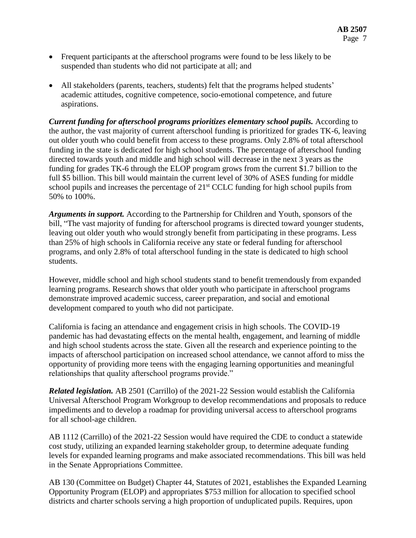- Frequent participants at the afterschool programs were found to be less likely to be suspended than students who did not participate at all; and
- All stakeholders (parents, teachers, students) felt that the programs helped students' academic attitudes, cognitive competence, socio-emotional competence, and future aspirations.

*Current funding for afterschool programs prioritizes elementary school pupils.* According to the author, the vast majority of current afterschool funding is prioritized for grades TK-6, leaving out older youth who could benefit from access to these programs. Only 2.8% of total afterschool funding in the state is dedicated for high school students. The percentage of afterschool funding directed towards youth and middle and high school will decrease in the next 3 years as the funding for grades TK-6 through the ELOP program grows from the current \$1.7 billion to the full \$5 billion. This bill would maintain the current level of 30% of ASES funding for middle school pupils and increases the percentage of  $21<sup>st</sup> CCLC$  funding for high school pupils from 50% to 100%.

*Arguments in support.* According to the Partnership for Children and Youth, sponsors of the bill, "The vast majority of funding for afterschool programs is directed toward younger students, leaving out older youth who would strongly benefit from participating in these programs. Less than 25% of high schools in California receive any state or federal funding for afterschool programs, and only 2.8% of total afterschool funding in the state is dedicated to high school students.

However, middle school and high school students stand to benefit tremendously from expanded learning programs. Research shows that older youth who participate in afterschool programs demonstrate improved academic success, career preparation, and social and emotional development compared to youth who did not participate.

California is facing an attendance and engagement crisis in high schools. The COVID-19 pandemic has had devastating effects on the mental health, engagement, and learning of middle and high school students across the state. Given all the research and experience pointing to the impacts of afterschool participation on increased school attendance, we cannot afford to miss the opportunity of providing more teens with the engaging learning opportunities and meaningful relationships that quality afterschool programs provide."

*Related legislation.* AB 2501 (Carrillo) of the 2021-22 Session would establish the California Universal Afterschool Program Workgroup to develop recommendations and proposals to reduce impediments and to develop a roadmap for providing universal access to afterschool programs for all school-age children.

AB 1112 (Carrillo) of the 2021-22 Session would have required the CDE to conduct a statewide cost study, utilizing an expanded learning stakeholder group, to determine adequate funding levels for expanded learning programs and make associated recommendations. This bill was held in the Senate Appropriations Committee.

AB 130 (Committee on Budget) Chapter 44, Statutes of 2021, establishes the Expanded Learning Opportunity Program (ELOP) and appropriates \$753 million for allocation to specified school districts and charter schools serving a high proportion of unduplicated pupils. Requires, upon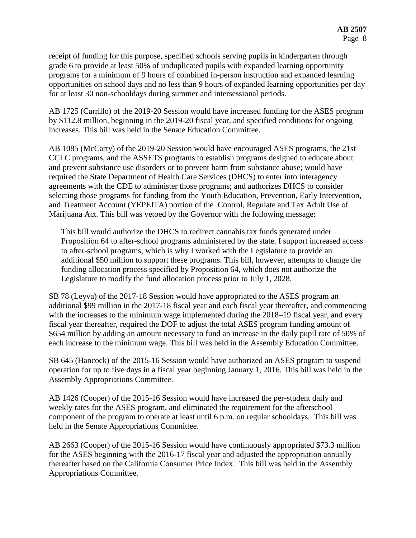receipt of funding for this purpose, specified schools serving pupils in kindergarten through grade 6 to provide at least 50% of unduplicated pupils with expanded learning opportunity programs for a minimum of 9 hours of combined in-person instruction and expanded learning opportunities on school days and no less than 9 hours of expanded learning opportunities per day for at least 30 non-schooldays during summer and intersessional periods.

AB 1725 (Carrillo) of the 2019-20 Session would have increased funding for the ASES program by \$112.8 million, beginning in the 2019-20 fiscal year, and specified conditions for ongoing increases. This bill was held in the Senate Education Committee.

AB 1085 (McCarty) of the 2019-20 Session would have encouraged ASES programs, the 21st CCLC programs, and the ASSETS programs to establish programs designed to educate about and prevent substance use disorders or to prevent harm from substance abuse; would have required the State Department of Health Care Services (DHCS) to enter into interagency agreements with the CDE to administer those programs; and authorizes DHCS to consider selecting those programs for funding from the Youth Education, Prevention, Early Intervention, and Treatment Account (YEPEITA) portion of the Control, Regulate and Tax Adult Use of Marijuana Act. This bill was vetoed by the Governor with the following message:

This bill would authorize the DHCS to redirect cannabis tax funds generated under Proposition 64 to after-school programs administered by the state. I support increased access to after-school programs, which is why I worked with the Legislature to provide an additional \$50 million to support these programs. This bill, however, attempts to change the funding allocation process specified by Proposition 64, which does not authorize the Legislature to modify the fund allocation process prior to July 1, 2028.

SB 78 (Leyva) of the 2017-18 Session would have appropriated to the ASES program an additional \$99 million in the 2017-18 fiscal year and each fiscal year thereafter, and commencing with the increases to the minimum wage implemented during the 2018–19 fiscal year, and every fiscal year thereafter, required the DOF to adjust the total ASES program funding amount of \$654 million by adding an amount necessary to fund an increase in the daily pupil rate of 50% of each increase to the minimum wage. This bill was held in the Assembly Education Committee.

SB 645 (Hancock) of the 2015-16 Session would have authorized an ASES program to suspend operation for up to five days in a fiscal year beginning January 1, 2016. This bill was held in the Assembly Appropriations Committee.

AB 1426 (Cooper) of the 2015-16 Session would have increased the per-student daily and weekly rates for the ASES program, and eliminated the requirement for the afterschool component of the program to operate at least until 6 p.m. on regular schooldays. This bill was held in the Senate Appropriations Committee.

AB 2663 (Cooper) of the 2015-16 Session would have continuously appropriated \$73.3 million for the ASES beginning with the 2016-17 fiscal year and adjusted the appropriation annually thereafter based on the California Consumer Price Index. This bill was held in the Assembly Appropriations Committee.